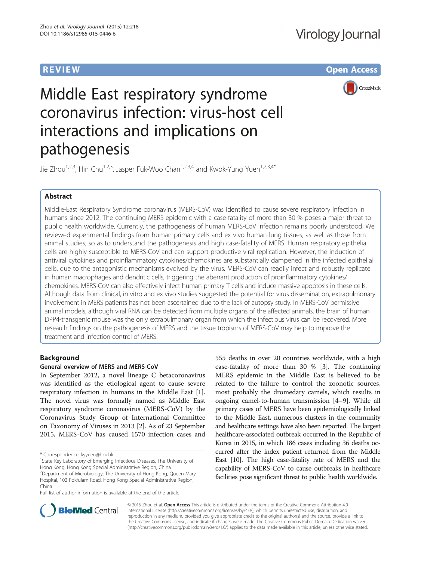**REVIEW CONSTRUCTION CONSTRUCTION CONSTRUCTS** 



# Middle East respiratory syndrome coronavirus infection: virus-host cell interactions and implications on pathogenesis

Jie Zhou<sup>1,2,3</sup>, Hin Chu<sup>1,2,3</sup>, Jasper Fuk-Woo Chan<sup>1,2,3,4</sup> and Kwok-Yung Yuen<sup>1,2,3,4\*</sup>

# Abstract

Middle-East Respiratory Syndrome coronavirus (MERS-CoV) was identified to cause severe respiratory infection in humans since 2012. The continuing MERS epidemic with a case-fatality of more than 30 % poses a major threat to public health worldwide. Currently, the pathogenesis of human MERS-CoV infection remains poorly understood. We reviewed experimental findings from human primary cells and ex vivo human lung tissues, as well as those from animal studies, so as to understand the pathogenesis and high case-fatality of MERS. Human respiratory epithelial cells are highly susceptible to MERS-CoV and can support productive viral replication. However, the induction of antiviral cytokines and proinflammatory cytokines/chemokines are substantially dampened in the infected epithelial cells, due to the antagonistic mechanisms evolved by the virus. MERS-CoV can readily infect and robustly replicate in human macrophages and dendritic cells, triggering the aberrant production of proinflammatory cytokines/ chemokines. MERS-CoV can also effectively infect human primary T cells and induce massive apoptosis in these cells. Although data from clinical, in vitro and ex vivo studies suggested the potential for virus dissemination, extrapulmonary involvement in MERS patients has not been ascertained due to the lack of autopsy study. In MERS-CoV permissive animal models, although viral RNA can be detected from multiple organs of the affected animals, the brain of human DPP4-transgenic mouse was the only extrapulmonary organ from which the infectious virus can be recovered. More research findings on the pathogenesis of MERS and the tissue tropisms of MERS-CoV may help to improve the treatment and infection control of MERS.

# Background

# General overview of MERS and MERS-CoV

In September 2012, a novel lineage C betacoronavirus was identified as the etiological agent to cause severe respiratory infection in humans in the Middle East [\[1](#page-5-0)]. The novel virus was formally named as Middle East respiratory syndrome coronavirus (MERS-CoV) by the Coronavirus Study Group of International Committee on Taxonomy of Viruses in 2013 [[2\]](#page-5-0). As of 23 September 2015, MERS-CoV has caused 1570 infection cases and

Full list of author information is available at the end of the article

555 deaths in over 20 countries worldwide, with a high case-fatality of more than 30 % [\[3\]](#page-5-0). The continuing MERS epidemic in the Middle East is believed to be related to the failure to control the zoonotic sources, most probably the dromedary camels, which results in ongoing camel-to-human transmission [\[4](#page-5-0)–[9](#page-5-0)]. While all primary cases of MERS have been epidemiologically linked to the Middle East, numerous clusters in the community and healthcare settings have also been reported. The largest healthcare-associated outbreak occurred in the Republic of Korea in 2015, in which 186 cases including 36 deaths occurred after the index patient returned from the Middle East [\[10\]](#page-5-0). The high case-fatality rate of MERS and the capability of MERS-CoV to cause outbreaks in healthcare facilities pose significant threat to public health worldwide.



© 2015 Zhou et al. Open Access This article is distributed under the terms of the Creative Commons Attribution 4.0 International License [\(http://creativecommons.org/licenses/by/4.0/](http://creativecommons.org/licenses/by/4.0/)), which permits unrestricted use, distribution, and reproduction in any medium, provided you give appropriate credit to the original author(s) and the source, provide a link to the Creative Commons license, and indicate if changes were made. The Creative Commons Public Domain Dedication waiver [\(http://creativecommons.org/publicdomain/zero/1.0/](http://creativecommons.org/publicdomain/zero/1.0/)) applies to the data made available in this article, unless otherwise stated.

<sup>\*</sup> Correspondence: [kyyuen@hku.hk](mailto:kyyuen@hku.hk) <sup>1</sup>

<sup>&</sup>lt;sup>1</sup>State Key Laboratory of Emerging Infectious Diseases, The University of Hong Kong, Hong Kong Special Administrative Region, China

<sup>&</sup>lt;sup>2</sup> Department of Microbiology, The University of Hong Kong, Queen Mary Hospital, 102 Pokfulam Road, Hong Kong Special Administrative Region, China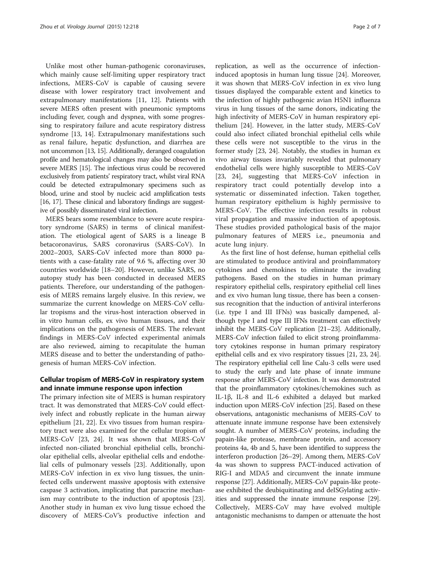Unlike most other human-pathogenic coronaviruses, which mainly cause self-limiting upper respiratory tract infections, MERS-CoV is capable of causing severe disease with lower respiratory tract involvement and extrapulmonary manifestations [\[11](#page-5-0), [12](#page-5-0)]. Patients with severe MERS often present with pneumonic symptoms including fever, cough and dyspnea, with some progressing to respiratory failure and acute respiratory distress syndrome [[13, 14\]](#page-5-0). Extrapulmonary manifestations such as renal failure, hepatic dysfunction, and diarrhea are not uncommon [[13, 15\]](#page-5-0). Additionally, deranged coagulation profile and hematological changes may also be observed in severe MERS [\[15\]](#page-5-0). The infectious virus could be recovered exclusively from patients' respiratory tract, whilst viral RNA could be detected extrapulmonary specimens such as blood, urine and stool by nucleic acid amplification tests [[16](#page-5-0), [17\]](#page-5-0). These clinical and laboratory findings are suggestive of possibly disseminated viral infection.

MERS bears some resemblance to severe acute respiratory syndrome (SARS) in terms of clinical manifestation. The etiological agent of SARS is a lineage B betacoronavirus, SARS coronavirus (SARS-CoV). In 2002–2003, SARS-CoV infected more than 8000 patients with a case-fatality rate of 9.6 %, affecting over 30 countries worldwide [[18](#page-5-0)–[20\]](#page-5-0). However, unlike SARS, no autopsy study has been conducted in deceased MERS patients. Therefore, our understanding of the pathogenesis of MERS remains largely elusive. In this review, we summarize the current knowledge on MERS-CoV cellular tropisms and the virus-host interaction observed in in vitro human cells, ex vivo human tissues, and their implications on the pathogenesis of MERS. The relevant findings in MERS-CoV infected experimental animals are also reviewed, aiming to recapitulate the human MERS disease and to better the understanding of pathogenesis of human MERS-CoV infection.

# Cellular tropism of MERS-CoV in respiratory system and innate immune response upon infection

The primary infection site of MERS is human respiratory tract. It was demonstrated that MERS-CoV could effectively infect and robustly replicate in the human airway epithelium [[21, 22\]](#page-5-0). Ex vivo tissues from human respiratory tract were also examined for the cellular tropism of MERS-CoV [\[23, 24](#page-5-0)]. It was shown that MERS-CoV infected non-ciliated bronchial epithelial cells, bronchiolar epithelial cells, alveolar epithelial cells and endothelial cells of pulmonary vessels [[23](#page-5-0)]. Additionally, upon MERS-CoV infection in ex vivo lung tissues, the uninfected cells underwent massive apoptosis with extensive caspase 3 activation, implicating that paracrine mechanism may contribute to the induction of apoptosis [\[23](#page-5-0)]. Another study in human ex vivo lung tissue echoed the discovery of MERS-CoV's productive infection and

replication, as well as the occurrence of infectioninduced apoptosis in human lung tissue [\[24](#page-5-0)]. Moreover, it was shown that MERS-CoV infection in ex vivo lung tissues displayed the comparable extent and kinetics to the infection of highly pathogenic avian H5N1 influenza virus in lung tissues of the same donors, indicating the high infectivity of MERS-CoV in human respiratory epithelium [[24\]](#page-5-0). However, in the latter study, MERS-CoV could also infect ciliated bronchial epithelial cells while these cells were not susceptible to the virus in the former study [[23, 24](#page-5-0)]. Notably, the studies in human ex vivo airway tissues invariably revealed that pulmonary endothelial cells were highly susceptible to MERS-CoV [[23, 24\]](#page-5-0), suggesting that MERS-CoV infection in respiratory tract could potentially develop into a systematic or disseminated infection. Taken together, human respiratory epithelium is highly permissive to MERS-CoV. The effective infection results in robust viral propagation and massive induction of apoptosis. These studies provided pathological basis of the major pulmonary features of MERS i.e., pneumonia and acute lung injury.

As the first line of host defense, human epithelial cells are stimulated to produce antiviral and proinflammatory cytokines and chemokines to eliminate the invading pathogens. Based on the studies in human primary respiratory epithelial cells, respiratory epithelial cell lines and ex vivo human lung tissue, there has been a consensus recognition that the induction of antiviral interferons (i.e. type I and III IFNs) was basically dampened, although type I and type III IFNs treatment can effectively inhibit the MERS-CoV replication [\[21](#page-5-0)–[23](#page-5-0)]. Additionally, MERS-CoV infection failed to elicit strong proinflammatory cytokines response in human primary respiratory epithelial cells and ex vivo respiratory tissues [[21](#page-5-0), [23](#page-5-0), [24](#page-5-0)]. The respiratory epithelial cell line Calu-3 cells were used to study the early and late phase of innate immune response after MERS-CoV infection. It was demonstrated that the proinflammatory cytokines/chemokines such as IL-1β, IL-8 and IL-6 exhibited a delayed but marked induction upon MERS-CoV infection [[25](#page-5-0)]. Based on these observations, antagonistic mechanisms of MERS-CoV to attenuate innate immune response have been extensively sought. A number of MERS-CoV proteins, including the papain-like protease, membrane protein, and accessory proteins 4a, 4b and 5, have been identified to suppress the interferon production [\[26](#page-5-0)–[29](#page-5-0)]. Among them, MERS-CoV 4a was shown to suppress PACT-induced activation of RIG-I and MDA5 and circumvent the innate immune response [[27](#page-5-0)]. Additionally, MERS-CoV papain-like protease exhibited the deubiquitinating and deISGylating activities and suppressed the innate immune response [[29](#page-5-0)]. Collectively, MERS-CoV may have evolved multiple antagonistic mechanisms to dampen or attenuate the host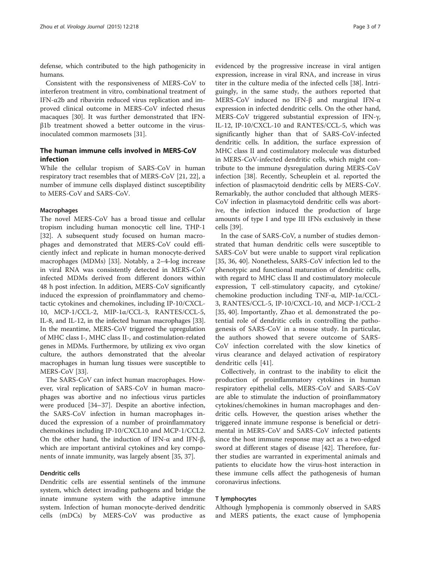defense, which contributed to the high pathogenicity in humans.

Consistent with the responsiveness of MERS-CoV to interferon treatment in vitro, combinational treatment of IFN-α2b and ribavirin reduced virus replication and improved clinical outcome in MERS-CoV infected rhesus macaques [[30\]](#page-5-0). It was further demonstrated that IFNβ1b treatment showed a better outcome in the virusinoculated common marmosets [\[31](#page-5-0)].

# The human immune cells involved in MERS-CoV infection

While the cellular tropism of SARS-CoV in human respiratory tract resembles that of MERS-CoV [\[21, 22\]](#page-5-0), a number of immune cells displayed distinct susceptibility to MERS-CoV and SARS-CoV.

#### Macrophages

The novel MERS-CoV has a broad tissue and cellular tropism including human monocytic cell line, THP-1 [[32\]](#page-5-0). A subsequent study focused on human macrophages and demonstrated that MERS-CoV could efficiently infect and replicate in human monocyte-derived macrophages (MDMs) [[33](#page-5-0)]. Notably, a 2–4-log increase in viral RNA was consistently detected in MERS-CoV infected MDMs derived from different donors within 48 h post infection. In addition, MERS-CoV significantly induced the expression of proinflammatory and chemotactic cytokines and chemokines, including IP-10/CXCL-10, MCP-1/CCL-2, MIP-1α/CCL-3, RANTES/CCL-5, IL-8, and IL-12, in the infected human macrophages [[33](#page-5-0)]. In the meantime, MERS-CoV triggered the upregulation of MHC class I-, MHC class II-, and costimulation-related genes in MDMs. Furthermore, by utilizing ex vivo organ culture, the authors demonstrated that the alveolar macrophages in human lung tissues were susceptible to MERS-CoV [[33\]](#page-5-0).

The SARS-CoV can infect human macrophages. However, viral replication of SARS-CoV in human macrophages was abortive and no infectious virus particles were produced [[34](#page-5-0)–[37](#page-5-0)]. Despite an abortive infection, the SARS-CoV infection in human macrophages induced the expression of a number of proinflammatory chemokines including IP-10/CXCL10 and MCP-1/CCL2. On the other hand, the induction of IFN- $α$  and IFN- $β$ , which are important antiviral cytokines and key components of innate immunity, was largely absent [\[35, 37\]](#page-5-0).

### Dendritic cells

Dendritic cells are essential sentinels of the immune system, which detect invading pathogens and bridge the innate immune system with the adaptive immune system. Infection of human monocyte-derived dendritic cells (mDCs) by MERS-CoV was productive as

evidenced by the progressive increase in viral antigen expression, increase in viral RNA, and increase in virus titer in the culture media of the infected cells [[38](#page-5-0)]. Intriguingly, in the same study, the authors reported that MERS-CoV induced no IFN-β and marginal IFN-α expression in infected dendritic cells. On the other hand, MERS-CoV triggered substantial expression of IFN-γ, IL-12, IP-10/CXCL-10 and RANTES/CCL-5, which was significantly higher than that of SARS-CoV-infected dendritic cells. In addition, the surface expression of MHC class II and costimulatory molecule was disturbed in MERS-CoV-infected dendritic cells, which might contribute to the immune dysregulation during MERS-CoV infection [[38](#page-5-0)]. Recently, Scheuplein et al. reported the infection of plasmacytoid dendritic cells by MERS-CoV. Remarkably, the author concluded that although MERS-CoV infection in plasmacytoid dendritic cells was abortive, the infection induced the production of large amounts of type I and type III IFNs exclusively in these cells [[39](#page-5-0)].

In the case of SARS-CoV, a number of studies demonstrated that human dendritic cells were susceptible to SARS-CoV but were unable to support viral replication [[35, 36,](#page-5-0) [40\]](#page-6-0). Nonetheless, SARS-CoV infection led to the phenotypic and functional maturation of dendritic cells, with regard to MHC class II and costimulatory molecule expression, T cell-stimulatory capacity, and cytokine/ chemokine production including TNF-α, MIP-1α/CCL-3, RANTES/CCL-5, IP-10/CXCL-10, and MCP-1/CCL-2 [[35,](#page-5-0) [40\]](#page-6-0). Importantly, Zhao et al. demonstrated the potential role of dendritic cells in controlling the pathogenesis of SARS-CoV in a mouse study. In particular, the authors showed that severe outcome of SARS-CoV infection correlated with the slow kinetics of virus clearance and delayed activation of respiratory dendritic cells [\[41](#page-6-0)].

Collectively, in contrast to the inability to elicit the production of proinflammatory cytokines in human respiratory epithelial cells, MERS-CoV and SARS-CoV are able to stimulate the induction of proinflammatory cytokines/chemokines in human macrophages and dendritic cells. However, the question arises whether the triggered innate immune response is beneficial or detrimental in MERS-CoV and SARS-CoV infected patients since the host immune response may act as a two-edged sword at different stages of disease [\[42](#page-6-0)]. Therefore, further studies are warranted in experimental animals and patients to elucidate how the virus-host interaction in these immune cells affect the pathogenesis of human coronavirus infections.

#### T lymphocytes

Although lymphopenia is commonly observed in SARS and MERS patients, the exact cause of lymphopenia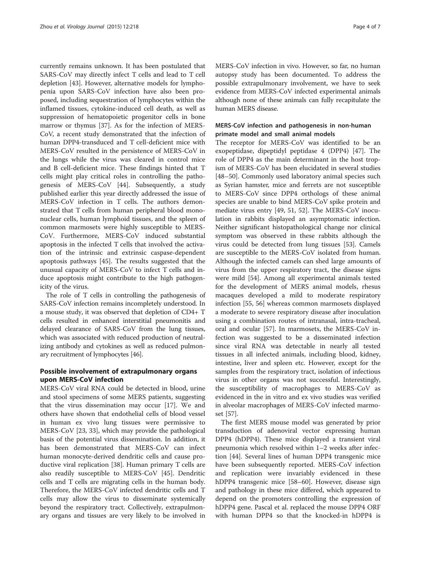currently remains unknown. It has been postulated that SARS-CoV may directly infect T cells and lead to T cell depletion [\[43](#page-6-0)]. However, alternative models for lymphopenia upon SARS-CoV infection have also been proposed, including sequestration of lymphocytes within the inflamed tissues, cytokine-induced cell death, as well as suppression of hematopoietic progenitor cells in bone marrow or thymus [[37](#page-5-0)]. As for the infection of MERS-CoV, a recent study demonstrated that the infection of human DPP4-transduced and T cell-deficient mice with MERS-CoV resulted in the persistence of MERS-CoV in the lungs while the virus was cleared in control mice and B cell-deficient mice. These findings hinted that T cells might play critical roles in controlling the pathogenesis of MERS-CoV [[44\]](#page-6-0). Subsequently, a study published earlier this year directly addressed the issue of MERS-CoV infection in T cells. The authors demonstrated that T cells from human peripheral blood mononuclear cells, human lymphoid tissues, and the spleen of common marmosets were highly susceptible to MERS-CoV. Furthermore, MERS-CoV induced substantial apoptosis in the infected T cells that involved the activation of the intrinsic and extrinsic caspase-dependent apoptosis pathways [[45\]](#page-6-0). The results suggested that the unusual capacity of MERS-CoV to infect T cells and induce apoptosis might contribute to the high pathogenicity of the virus.

The role of T cells in controlling the pathogenesis of SARS-CoV infection remains incompletely understood. In a mouse study, it was observed that depletion of CD4+ T cells resulted in enhanced interstitial pneumonitis and delayed clearance of SARS-CoV from the lung tissues, which was associated with reduced production of neutralizing antibody and cytokines as well as reduced pulmonary recruitment of lymphocytes [[46](#page-6-0)].

# Possible involvement of extrapulmonary organs upon MERS-CoV infection

MERS-CoV viral RNA could be detected in blood, urine and stool specimens of some MERS patients, suggesting that the virus dissemination may occur [[17\]](#page-5-0). We and others have shown that endothelial cells of blood vessel in human ex vivo lung tissues were permissive to MERS-CoV [[23, 33\]](#page-5-0), which may provide the pathological basis of the potential virus dissemination. In addition, it has been demonstrated that MERS-CoV can infect human monocyte-derived dendritic cells and cause productive viral replication [\[38](#page-5-0)]. Human primary T cells are also readily susceptible to MERS-CoV [\[45](#page-6-0)]. Dendritic cells and T cells are migrating cells in the human body. Therefore, the MERS-CoV infected dendritic cells and T cells may allow the virus to disseminate systemically beyond the respiratory tract. Collectively, extrapulmonary organs and tissues are very likely to be involved in MERS-CoV infection in vivo. However, so far, no human autopsy study has been documented. To address the possible extrapulmonary involvement, we have to seek evidence from MERS-CoV infected experimental animals although none of these animals can fully recapitulate the human MERS disease.

# MERS-CoV infection and pathogenesis in non-human primate model and small animal models

The receptor for MERS-CoV was identified to be an exopeptidase, dipeptidyl peptidase 4 (DPP4) [\[47\]](#page-6-0). The role of DPP4 as the main determinant in the host tropism of MERS-CoV has been elucidated in several studies [[48](#page-6-0)–[50](#page-6-0)]. Commonly used laboratory animal species such as Syrian hamster, mice and ferrets are not susceptible to MERS-CoV since DPP4 orthologs of these animal species are unable to bind MERS-CoV spike protein and mediate virus entry [[49](#page-6-0), [51, 52](#page-6-0)]. The MERS-CoV inoculation in rabbits displayed an asymptomatic infection. Neither significant histopathological change nor clinical symptom was observed in these rabbits although the virus could be detected from lung tissues [\[53\]](#page-6-0). Camels are susceptible to the MERS-CoV isolated from human. Although the infected camels can shed large amounts of virus from the upper respiratory tract, the disease signs were mild [\[54\]](#page-6-0). Among all experimental animals tested for the development of MERS animal models, rhesus macaques developed a mild to moderate respiratory infection [[55, 56\]](#page-6-0) whereas common marmosets displayed a moderate to severe respiratory disease after inoculation using a combination routes of intranasal, intra-tracheal, oral and ocular [[57\]](#page-6-0). In marmosets, the MERS-CoV infection was suggested to be a disseminated infection since viral RNA was detectable in nearly all tested tissues in all infected animals, including blood, kidney, intestine, liver and spleen etc. However, except for the samples from the respiratory tract, isolation of infectious virus in other organs was not successful. Interestingly, the susceptibility of macrophages to MERS-CoV as evidenced in the in vitro and ex vivo studies was verified in alveolar macrophages of MERS-CoV infected marmoset [\[57\]](#page-6-0).

The first MERS mouse model was generated by prior transduction of adenoviral vector expressing human DPP4 (hDPP4). These mice displayed a transient viral pneumonia which resolved within 1–2 weeks after infection [[44\]](#page-6-0). Several lines of human DPP4 transgenic mice have been subsequently reported. MERS-CoV infection and replication were invariably evidenced in these hDPP4 transgenic mice [\[58](#page-6-0)–[60\]](#page-6-0). However, disease sign and pathology in these mice differed, which appeared to depend on the promoters controlling the expression of hDPP4 gene. Pascal et al. replaced the mouse DPP4 ORF with human DPP4 so that the knocked-in hDPP4 is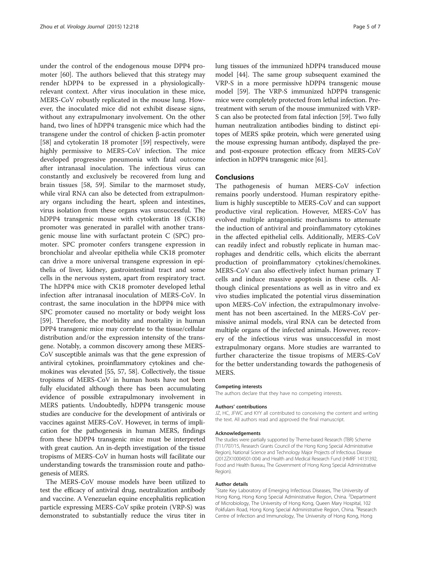under the control of the endogenous mouse DPP4 promoter [\[60](#page-6-0)]. The authors believed that this strategy may render hDPP4 to be expressed in a physiologicallyrelevant context. After virus inoculation in these mice, MERS-CoV robustly replicated in the mouse lung. However, the inoculated mice did not exhibit disease signs, without any extrapulmonary involvement. On the other hand, two lines of hDPP4 transgenic mice which had the transgene under the control of chicken β-actin promoter [[58\]](#page-6-0) and cytokeratin 18 promoter [[59\]](#page-6-0) respectively, were highly permissive to MERS-CoV infection. The mice developed progressive pneumonia with fatal outcome after intranasal inoculation. The infectious virus can constantly and exclusively be recovered from lung and brain tissues [[58, 59\]](#page-6-0). Similar to the marmoset study, while viral RNA can also be detected from extrapulmonary organs including the heart, spleen and intestines, virus isolation from these organs was unsuccessful. The hDPP4 transgenic mouse with cytokeratin 18 (CK18) promoter was generated in parallel with another transgenic mouse line with surfactant protein C (SPC) promoter. SPC promoter confers transgene expression in bronchiolar and alveolar epithelia while CK18 promoter can drive a more universal transgene expression in epithelia of liver, kidney, gastrointestinal tract and some cells in the nervous system, apart from respiratory tract. The hDPP4 mice with CK18 promoter developed lethal infection after intranasal inoculation of MERS-CoV. In contrast, the same inoculation in the hDPP4 mice with SPC promoter caused no mortality or body weight loss [[59\]](#page-6-0). Therefore, the morbidity and mortality in human DPP4 transgenic mice may correlate to the tissue/cellular distribution and/or the expression intensity of the transgene. Notably, a common discovery among these MERS-CoV susceptible animals was that the gene expression of antiviral cytokines, proinflammatory cytokines and chemokines was elevated [\[55, 57](#page-6-0), [58](#page-6-0)]. Collectively, the tissue tropisms of MERS-CoV in human hosts have not been fully elucidated although there has been accumulating evidence of possible extrapulmonary involvement in MERS patients. Undoubtedly, hDPP4 transgenic mouse studies are conducive for the development of antivirals or vaccines against MERS-CoV. However, in terms of implication for the pathogenesis in human MERS, findings from these hDPP4 transgenic mice must be interpreted with great caution. An in-depth investigation of the tissue tropisms of MERS-CoV in human hosts will facilitate our understanding towards the transmission route and pathogenesis of MERS.

The MERS-CoV mouse models have been utilized to test the efficacy of antiviral drug, neutralization antibody and vaccine. A Venezuelan equine encephalitis replication particle expressing MERS-CoV spike protein (VRP-S) was demonstrated to substantially reduce the virus titer in lung tissues of the immunized hDPP4 transduced mouse model [[44](#page-6-0)]. The same group subsequent examined the VRP-S in a more permissive hDPP4 transgenic mouse model [[59](#page-6-0)]. The VRP-S immunized hDPP4 transgenic mice were completely protected from lethal infection. Pretreatment with serum of the mouse immunized with VRP-S can also be protected from fatal infection [\[59](#page-6-0)]. Two fully human neutralization antibodies binding to distinct epitopes of MERS spike protein, which were generated using the mouse expressing human antibody, displayed the preand post-exposure protection efficacy from MERS-CoV infection in hDPP4 transgenic mice [\[61\]](#page-6-0).

#### Conclusions

The pathogenesis of human MERS-CoV infection remains poorly understood. Human respiratory epithelium is highly susceptible to MERS-CoV and can support productive viral replication. However, MERS-CoV has evolved multiple antagonistic mechanisms to attenuate the induction of antiviral and proinflammatory cytokines in the affected epithelial cells. Additionally, MERS-CoV can readily infect and robustly replicate in human macrophages and dendritic cells, which elicits the aberrant production of proinflammatory cytokines/chemokines. MERS-CoV can also effectively infect human primary T cells and induce massive apoptosis in these cells. Although clinical presentations as well as in vitro and ex vivo studies implicated the potential virus dissemination upon MERS-CoV infection, the extrapulmonary involvement has not been ascertained. In the MERS-CoV permissive animal models, viral RNA can be detected from multiple organs of the infected animals. However, recovery of the infectious virus was unsuccessful in most extrapulmonary organs. More studies are warranted to further characterize the tissue tropisms of MERS-CoV for the better understanding towards the pathogenesis of MERS.

#### Competing interests

The authors declare that they have no competing interests.

#### Authors' contributions

JZ, HC, JFWC and KYY all contributed to conceiving the content and writing the text. All authors read and approved the final manuscript.

#### Acknowledgements

The studies were partially supported by Theme-based Research (TBR) Scheme (T11/707/15, Research Grants Council of the Hong Kong Special Administrative Region), National Science and Technology Major Projects of Infectious Disease (2012ZX10004501-004) and Health and Medical Research Fund (HMRF 14131392, Food and Health Bureau, The Government of Hong Kong Special Administrative Region).

#### Author details

<sup>1</sup>State Key Laboratory of Emerging Infectious Diseases, The University of Hong Kong, Hong Kong Special Administrative Region, China. <sup>2</sup>Department of Microbiology, The University of Hong Kong, Queen Mary Hospital, 102 Pokfulam Road, Hong Kong Special Administrative Region, China. <sup>3</sup>Research Centre of Infection and Immunology, The University of Hong Kong, Hong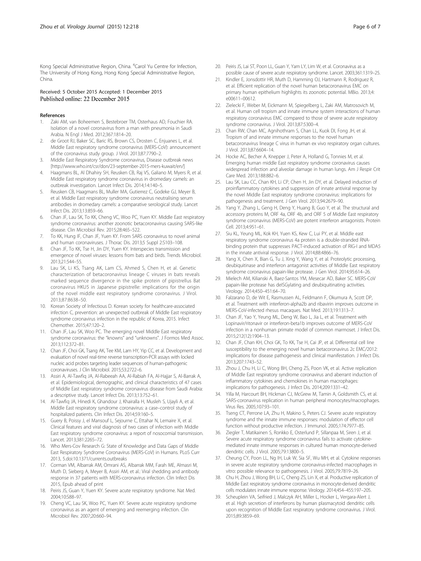<span id="page-5-0"></span>Kong Special Administrative Region, China. <sup>4</sup>Carol Yu Centre for Infection, The University of Hong Kong, Hong Kong Special Administrative Region, China.

#### Received: 5 October 2015 Accepted: 1 December 2015 Published online: 22 December 2015

#### References

- 1. Zaki AM, van Boheemen S, Bestebroer TM, Osterhaus AD, Fouchier RA. Isolation of a novel coronavirus from a man with pneumonia in Saudi Arabia. N Engl J Med. 2012;367:1814–20.
- 2. de Groot RJ, Baker SC, Baric RS, Brown CS, Drosten C, Enjuanes L, et al. Middle East respiratory syndrome coronavirus (MERS-CoV): announcement of the coronavirus study group. J Virol. 2013;87:7790–2.
- 3. Middle East Respiratory Syndrome coronavirus, Disease outbreak news [[http://www.who.int/csr/don/23-september-2015-mers-kuwait/en/\]](http://www.who.int/csr/don/23-september-2015-mers-kuwait/en/)
- 4. Haagmans BL, Al Dhahiry SH, Reusken CB, Raj VS, Galiano M, Myers R, et al. Middle East respiratory syndrome coronavirus in dromedary camels: an outbreak investigation. Lancet Infect Dis. 2014;14:140–5.
- 5. Reusken CB, Haagmans BL, Muller MA, Gutierrez C, Godeke GJ, Meyer B, et al. Middle East respiratory syndrome coronavirus neutralising serum antibodies in dromedary camels: a comparative serological study. Lancet Infect Dis. 2013;13:859–66.
- 6. Chan JF, Lau SK, To KK, Cheng VC, Woo PC, Yuen KY. Middle East respiratory syndrome coronavirus: another zoonotic betacoronavirus causing SARS-like disease. Clin Microbiol Rev. 2015;28:465–522.
- 7. To KK, Hung IF, Chan JF, Yuen KY. From SARS coronavirus to novel animal and human coronaviruses. J Thorac Dis. 2013;5 Suppl 2:S103–108.
- 8. Chan JF, To KK, Tse H, Jin DY, Yuen KY. Interspecies transmission and emergence of novel viruses: lessons from bats and birds. Trends Microbiol. 2013;21:544–55.
- Lau SK, Li KS, Tsang AK, Lam CS, Ahmed S, Chen H, et al. Genetic characterization of betacoronavirus lineage C viruses in bats reveals marked sequence divergence in the spike protein of pipistrellus Bat coronavirus HKU5 in Japanese pipistrelle: implications for the origin of the novel middle east respiratory syndrome coronavirus. J Virol. 2013;87:8638–50.
- 10. Korean Society of Infectious D. Korean society for healthcare-associated infection C, prevention: an unexpected outbreak of Middle East respiratory syndrome coronavirus infection in the republic of Korea, 2015. Infect Chemother. 2015;47:120–2.
- 11. Chan JF, Lau SK, Woo PC. The emerging novel Middle East respiratory syndrome coronavirus: the "knowns" and "unknowns". J Formos Med Assoc. 2013;112:372–81.
- 12. Chan JF, Choi GK, Tsang AK, Tee KM, Lam HY, Yip CC, et al. Development and evaluation of novel real-time reverse transcription-PCR assays with locked nucleic acid probes targeting leader sequences of human-pathogenic coronaviruses. J Clin Microbiol. 2015;53:2722–6.
- 13. Assiri A, Al-Tawfiq JA, Al-Rabeeah AA, Al-Rabiah FA, Al-Hajjar S, Al-Barrak A, et al. Epidemiological, demographic, and clinical characteristics of 47 cases of Middle East respiratory syndrome coronavirus disease from Saudi Arabia: a descriptive study. Lancet Infect Dis. 2013;13:752–61.
- 14. Al-Tawfiq JA, Hinedi K, Ghandour J, Khairalla H, Musleh S, Ujayli A, et al. Middle East respiratory syndrome coronavirus: a case–control study of hospitalized patients. Clin Infect Dis. 2014;59:160–5.
- 15. Guery B, Poissy J, el Mansouf L, Sejourne C, Ettahar N, Lemaire X, et al. Clinical features and viral diagnosis of two cases of infection with Middle East respiratory syndrome coronavirus: a report of nosocomial transmission. Lancet. 2013;381:2265–72.
- 16. Who Mers-Cov Research G: State of Knowledge and Data Gaps of Middle East Respiratory Syndrome Coronavirus (MERS-CoV) in Humans. PLoS Curr 2013, 5.doi:[10.1371/currents.outbreaks](http://dx.doi.org/10.1371/currents.outbreaks)
- 17. Corman VM, Albarrak AM, Omrani AS, Albarrak MM, Farah ME, Almasri M, Muth D, Sieberg A, Meyer B, Assiri AM, et al.: Viral shedding and antibody response in 37 patients with MERS-coronavirus infection. Clin Infect Dis 2015, Epub ahead of print
- 18. Peiris JS, Guan Y, Yuen KY. Severe acute respiratory syndrome. Nat Med. 2004;10:S88–97.
- 19. Cheng VC, Lau SK, Woo PC, Yuen KY. Severe acute respiratory syndrome coronavirus as an agent of emerging and reemerging infection. Clin Microbiol Rev. 2007;20:660–94.
- 20. Peiris JS, Lai ST, Poon LL, Guan Y, Yam LY, Lim W, et al. Coronavirus as a possible cause of severe acute respiratory syndrome. Lancet. 2003;361:1319–25.
- 21. Kindler E, Jonsdottir HR, Muth D, Hamming OJ, Hartmann R, Rodriguez R, et al. Efficient replication of the novel human betacoronavirus EMC on primary human epithelium highlights its zoonotic potential. MBio. 2013;4: e00611–00612.
- 22. Zielecki F, Weber M, Eickmann M, Spiegelberg L, Zaki AM, Matrosovich M, et al. Human cell tropism and innate immune system interactions of human respiratory coronavirus EMC compared to those of severe acute respiratory syndrome coronavirus. J Virol. 2013;87:5300–4.
- 23. Chan RW, Chan MC, Agnihothram S, Chan LL, Kuok DI, Fong JH, et al. Tropism of and innate immune responses to the novel human betacoronavirus lineage C virus in human ex vivo respiratory organ cultures. J Virol. 2013;87:6604–14.
- 24. Hocke AC, Becher A, Knepper J, Peter A, Holland G, Tonnies M, et al. Emerging human middle East respiratory syndrome coronavirus causes widespread infection and alveolar damage in human lungs. Am J Respir Crit Care Med. 2013;188:882–6.
- 25. Lau SK, Lau CC, Chan KH, Li CP, Chen H, Jin DY, et al. Delayed induction of proinflammatory cytokines and suppression of innate antiviral response by the novel Middle East respiratory syndrome coronavirus: implications for pathogenesis and treatment. J Gen Virol. 2013;94:2679–90.
- 26. Yang Y, Zhang L, Geng H, Deng Y, Huang B, Guo Y, et al. The structural and accessory proteins M, ORF 4a, ORF 4b, and ORF 5 of Middle East respiratory syndrome coronavirus (MERS-CoV) are potent interferon antagonists. Protein Cell. 2013;4:951–61.
- 27. Siu KL, Yeung ML, Kok KH, Yuen KS, Kew C, Lui PY, et al. Middle east respiratory syndrome coronavirus 4a protein is a double-stranded RNAbinding protein that suppresses PACT-induced activation of RIG-I and MDA5 in the innate antiviral response. J Virol. 2014;88:4866–76.
- 28. Yang X, Chen X, Bian G, Tu J, Xing Y, Wang Y, et al. Proteolytic processing, deubiquitinase and interferon antagonist activities of Middle East respiratory syndrome coronavirus papain-like protease. J Gen Virol. 2014;95:614–26.
- 29. Mielech AM, Kilianski A, Baez-Santos YM, Mesecar AD, Baker SC. MERS-CoV papain-like protease has deISGylating and deubiquitinating activities. Virology. 2014;450–451:64–70.
- 30. Falzarano D, de Wit E, Rasmussen AL, Feldmann F, Okumura A, Scott DP, et al. Treatment with interferon-alpha2b and ribavirin improves outcome in MERS-CoV-infected rhesus macaques. Nat Med. 2013;19:1313–7.
- 31. Chan JF, Yao Y, Yeung ML, Deng W, Bao L, Jia L, et al. Treatment with Lopinavir/ritonavir or interferon-beta1b improves outcome of MERS-CoV infection in a nonhuman primate model of common marmoset. J Infect Dis. 2015;212(12):1904–13.
- 32. Chan JF, Chan KH, Choi GK, To KK, Tse H, Cai JP, et al. Differential cell line susceptibility to the emerging novel human betacoronavirus 2c EMC/2012: implications for disease pathogenesis and clinical manifestation. J Infect Dis. 2013;207:1743–52.
- 33. Zhou J, Chu H, Li C, Wong BH, Cheng ZS, Poon VK, et al. Active replication of Middle East respiratory syndrome coronavirus and aberrant induction of inflammatory cytokines and chemokines in human macrophages: implications for pathogenesis. J Infect Dis. 2014;209:1331–42.
- 34. Yilla M, Harcourt BH, Hickman CJ, McGrew M, Tamin A, Goldsmith CS, et al. SARS-coronavirus replication in human peripheral monocytes/macrophages. Virus Res. 2005;107:93–101.
- 35. Tseng CT, Perrone LA, Zhu H, Makino S, Peters CJ. Severe acute respiratory syndrome and the innate immune responses: modulation of effector cell function without productive infection. J Immunol. 2005;174:7977–85.
- 36. Ziegler T, Matikainen S, Ronkko E, Osterlund P, Sillanpaa M, Siren J, et al. Severe acute respiratory syndrome coronavirus fails to activate cytokinemediated innate immune responses in cultured human monocyte-derived dendritic cells. J Virol. 2005;79:13800–5.
- 37. Cheung CY, Poon LL, Ng IH, Luk W, Sia SF, Wu MH, et al. Cytokine responses in severe acute respiratory syndrome coronavirus-infected macrophages in vitro: possible relevance to pathogenesis. J Virol. 2005;79:7819–26.
- 38. Chu H, Zhou J, Wong BH, Li C, Cheng ZS, Lin X, et al. Productive replication of Middle East respiratory syndrome coronavirus in monocyte-derived dendritic cells modulates innate immune response. Virology. 2014;454–455:197–205.
- 39. Scheuplein VA, Seifried J, Malczyk AH, Miller L, Hocker L, Vergara-Alert J, et al. High secretion of interferons by human plasmacytoid dendritic cells upon recognition of Middle East respiratory syndrome coronavirus. J Virol. 2015;89:3859–69.